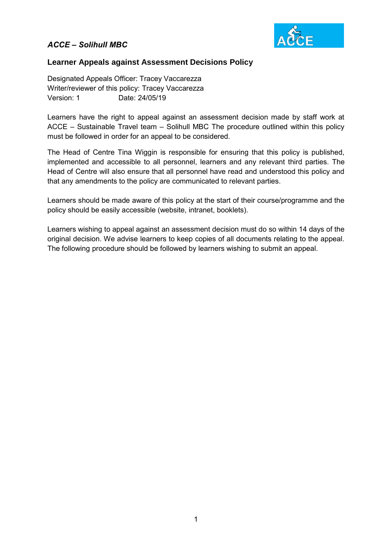

### **Learner Appeals against Assessment Decisions Policy**

Designated Appeals Officer: Tracey Vaccarezza Writer/reviewer of this policy: Tracey Vaccarezza Version: 1 Date: 24/05/19

Learners have the right to appeal against an assessment decision made by staff work at ACCE – Sustainable Travel team – Solihull MBC The procedure outlined within this policy must be followed in order for an appeal to be considered.

The Head of Centre Tina Wiggin is responsible for ensuring that this policy is published, implemented and accessible to all personnel, learners and any relevant third parties. The Head of Centre will also ensure that all personnel have read and understood this policy and that any amendments to the policy are communicated to relevant parties.

Learners should be made aware of this policy at the start of their course/programme and the policy should be easily accessible (website, intranet, booklets).

Learners wishing to appeal against an assessment decision must do so within 14 days of the original decision. We advise learners to keep copies of all documents relating to the appeal. The following procedure should be followed by learners wishing to submit an appeal.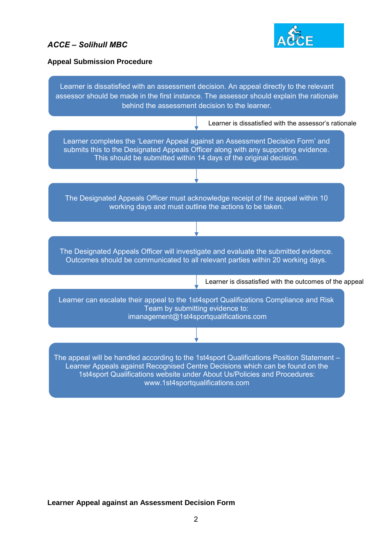

#### **Appeal Submission Procedure**



### **Learner Appeal against an Assessment Decision Form**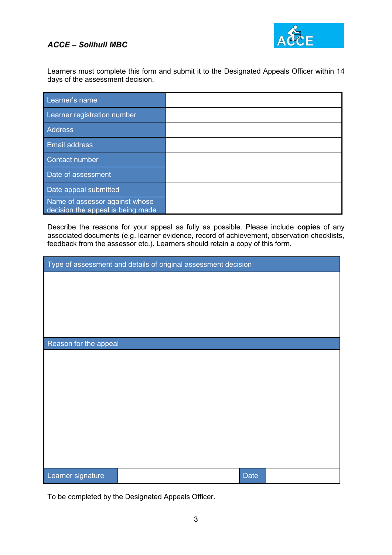

Learners must complete this form and submit it to the Designated Appeals Officer within 14 days of the assessment decision.

| Learner's name                                                      |  |
|---------------------------------------------------------------------|--|
| Learner registration number                                         |  |
| <b>Address</b>                                                      |  |
| <b>Email address</b>                                                |  |
| <b>Contact number</b>                                               |  |
| Date of assessment                                                  |  |
| Date appeal submitted                                               |  |
| Name of assessor against whose<br>decision the appeal is being made |  |

Describe the reasons for your appeal as fully as possible. Please include **copies** of any associated documents (e.g. learner evidence, record of achievement, observation checklists, feedback from the assessor etc.). Learners should retain a copy of this form.

| Type of assessment and details of original assessment decision |             |  |  |  |
|----------------------------------------------------------------|-------------|--|--|--|
|                                                                |             |  |  |  |
|                                                                |             |  |  |  |
|                                                                |             |  |  |  |
|                                                                |             |  |  |  |
| Reason for the appeal                                          |             |  |  |  |
|                                                                |             |  |  |  |
|                                                                |             |  |  |  |
|                                                                |             |  |  |  |
|                                                                |             |  |  |  |
|                                                                |             |  |  |  |
|                                                                |             |  |  |  |
|                                                                |             |  |  |  |
|                                                                |             |  |  |  |
| Learner signature                                              | <b>Date</b> |  |  |  |

To be completed by the Designated Appeals Officer.